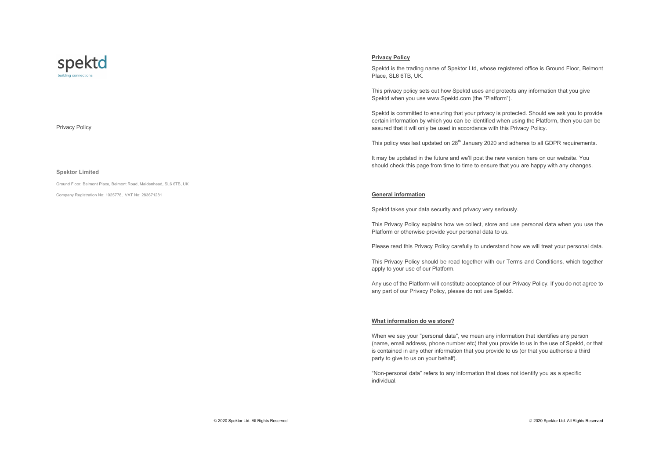

# Privacy Policy

#### **Spektor Limited**

Ground Floor, Belmont Place, Belmont Road, Maidenhead, SL6 6TB, UK

Company Registration No: 1025778, VAT No: 283671281

# **Privacy Policy**

Spektd is the trading name of Spektor Ltd, whose registered office is Ground Floor, Belmont Place, SL6 6TB, UK.

This privacy policy sets out how Spektd uses and protects any information that you give Spektd when you use www.Spektd.com (the "Platform").

Spektd is committed to ensuring that your privacy is protected. Should we ask you to provide certain information by which you can be identified when using the Platform, then you can be assured that it will only be used in accordance with this Privacy Policy.

This policy was last updated on  $28<sup>th</sup>$  January 2020 and adheres to all GDPR requirements.

It may be updated in the future and we'll post the new version here on our website. You should check this page from time to time to ensure that you are happy with any changes.

### **General information**

Spektd takes your data security and privacy very seriously.

This Privacy Policy explains how we collect, store and use personal data when you use the Platform or otherwise provide your personal data to us.

Please read this Privacy Policy carefully to understand how we will treat your personal data.

This Privacy Policy should be read together with our Terms and Conditions, which together apply to your use of our Platform.

Any use of the Platform will constitute acceptance of our Privacy Policy. If you do not agree to any part of our Privacy Policy, please do not use Spektd.

### **What information do we store?**

When we say your "personal data", we mean any information that identifies any person (name, email address, phone number etc) that you provide to us in the use of Spektd, or that is contained in any other information that you provide to us (or that you authorise a third party to give to us on your behalf).

"Non-personal data" refers to any information that does not identify you as a specific individual.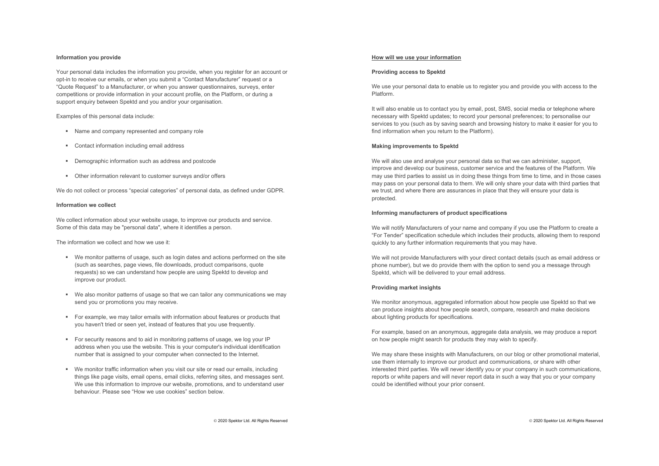### **Information you provide**

Your personal data includes the information you provide, when you register for an account or opt-in to receive our emails, or when you submit a "Contact Manufacturer" request or a "Quote Request" to a Manufacturer, or when you answer questionnaires, surveys, enter competitions or provide information in your account profile, on the Platform, or during a support enquiry between Spektd and you and/or your organisation.

Examples of this personal data include:

- Name and company represented and company role
- Contact information including email address
- § Demographic information such as address and postcode
- Other information relevant to customer surveys and/or offers

We do not collect or process "special categories" of personal data, as defined under GDPR.

### **Information we collect**

We collect information about your website usage, to improve our products and service. Some of this data may be "personal data", where it identifies a person.

The information we collect and how we use it:

- § We monitor patterns of usage, such as login dates and actions performed on the site (such as searches, page views, file downloads, product comparisons, quote requests) so we can understand how people are using Spektd to develop and improve our product.
- § We also monitor patterns of usage so that we can tailor any communications we may send you or promotions you may receive.
- For example, we may tailor emails with information about features or products that you haven't tried or seen yet, instead of features that you use frequently.
- § For security reasons and to aid in monitoring patterns of usage, we log your IP address when you use the website. This is your computer's individual identification number that is assigned to your computer when connected to the Internet.
- We monitor traffic information when you visit our site or read our emails, including things like page visits, email opens, email clicks, referring sites, and messages sent. We use this information to improve our website, promotions, and to understand user behaviour. Please see "How we use cookies" section below.

#### **How will we use your information**

### **Providing access to Spektd**

We use your personal data to enable us to register you and provide you with access to the Platform.

It will also enable us to contact you by email, post, SMS, social media or telephone where necessary with Spektd updates; to record your personal preferences; to personalise our services to you (such as by saving search and browsing history to make it easier for you to find information when you return to the Platform).

### **Making improvements to Spektd**

We will also use and analyse your personal data so that we can administer, support, improve and develop our business, customer service and the features of the Platform. We may use third parties to assist us in doing these things from time to time, and in those cases may pass on your personal data to them. We will only share your data with third parties that we trust, and where there are assurances in place that they will ensure your data is protected.

### **Informing manufacturers of product specifications**

We will notify Manufacturers of your name and company if you use the Platform to create a "For Tender" specification schedule which includes their products, allowing them to respond quickly to any further information requirements that you may have.

We will not provide Manufacturers with your direct contact details (such as email address or phone number), but we do provide them with the option to send you a message through Spektd, which will be delivered to your email address.

### **Providing market insights**

We monitor anonymous, aggregated information about how people use Spektd so that we can produce insights about how people search, compare, research and make decisions about lighting products for specifications.

For example, based on an anonymous, aggregate data analysis, we may produce a report on how people might search for products they may wish to specify.

We may share these insights with Manufacturers, on our blog or other promotional material. use them internally to improve our product and communications, or share with other interested third parties. We will never identify you or your company in such communications, reports or white papers and will never report data in such a way that you or your company could be identified without your prior consent.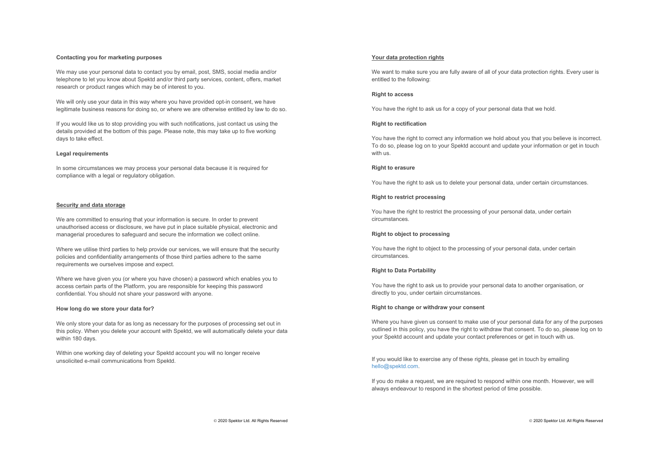### **Contacting you for marketing purposes**

We may use your personal data to contact you by email, post, SMS, social media and/or telephone to let you know about Spektd and/or third party services, content, offers, market research or product ranges which may be of interest to you.

We will only use your data in this way where you have provided opt-in consent, we have legitimate business reasons for doing so, or where we are otherwise entitled by law to do so.

If you would like us to stop providing you with such notifications, just contact us using the details provided at the bottom of this page. Please note, this may take up to five working days to take effect.

#### **Legal requirements**

In some circumstances we may process your personal data because it is required for compliance with a legal or regulatory obligation.

#### **Security and data storage**

We are committed to ensuring that your information is secure. In order to prevent unauthorised access or disclosure, we have put in place suitable physical, electronic and managerial procedures to safeguard and secure the information we collect online.

Where we utilise third parties to help provide our services, we will ensure that the security policies and confidentiality arrangements of those third parties adhere to the same requirements we ourselves impose and expect.

Where we have given you (or where you have chosen) a password which enables you to access certain parts of the Platform, you are responsible for keeping this password confidential. You should not share your password with anyone.

### **How long do we store your data for?**

We only store your data for as long as necessary for the purposes of processing set out in this policy. When you delete your account with Spektd, we will automatically delete your data within 180 days.

Within one working day of deleting your Spektd account you will no longer receive unsolicited e-mail communications from Spektd.

### **Your data protection rights**

We want to make sure you are fully aware of all of your data protection rights. Every user is entitled to the following:

## **Right to access**

You have the right to ask us for a copy of your personal data that we hold.

#### **Right to rectification**

You have the right to correct any information we hold about you that you believe is incorrect. To do so, please log on to your Spektd account and update your information or get in touch with us.

### **Right to erasure**

You have the right to ask us to delete your personal data, under certain circumstances.

## **Right to restrict processing**

You have the right to restrict the processing of your personal data, under certain circumstances.

### **Right to object to processing**

You have the right to object to the processing of your personal data, under certain circumstances.

### **Right to Data Portability**

You have the right to ask us to provide your personal data to another organisation, or directly to you, under certain circumstances.

### **Right to change or withdraw your consent**

Where you have given us consent to make use of your personal data for any of the purposes outlined in this policy, you have the right to withdraw that consent. To do so, please log on to your Spektd account and update your contact preferences or get in touch with us.

If you would like to exercise any of these rights, please get in touch by emailing hello@spektd.com.

If you do make a request, we are required to respond within one month. However, we will always endeavour to respond in the shortest period of time possible.